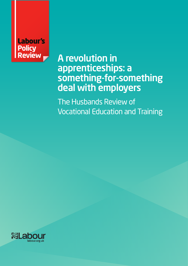# Labour's **Policy Review**

# A revolution in apprenticeships: a something-for-something deal with employers

The Husbands Review of Vocational Education and Training

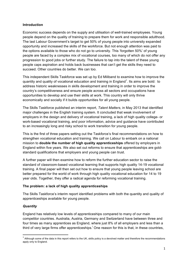# **Introduction**

Economic success depends on the supply and utilisation of well-trained employees. Young people depend on the quality of training to prepare them for work and responsible adulthood. The last Labour Government's target to get 50% of young people into university expanded opportunity and increased the skills of the workforce. But not enough attention was paid to the options available to those who do not go to university. This 'forgotten 50%' of young people are faced by a complex mix of vocational courses, too many of which do not offer any progression to good jobs or further study. The failure to tap into the talent of these young people caps aspiration and holds back businesses that can't get the skills they need to succeed. Other countries do better. We can too.

This independent Skills Taskforce was set up by Ed Miliband to examine how to improve the quantity and quality of vocational education and training in England<sup>1</sup>. Its aims are bold: to address historic weaknesses in skills development and training in order to improve the country's competitiveness and ensure people across all sectors and occupations have opportunities to develop and use their skills at work. This country will only thrive economically and socially if it builds opportunities for all young people.

The Skills Taskforce published an interim report, *Talent Matters*, in May 2013 that identified major challenges in the English training system. It concluded that weak involvement of employers in the design and delivery of vocational training, a lack of high quality college- or work-based vocational training, and poor information, advice and guidance have contributed to an increasingly long and risky school to work transition for young people.

This is the first of three papers setting out the Taskforce's final recommendations on how to strengthen vocational education and training. We call on Labour to embark on a national mission to **double the number of high quality apprenticeships** offered by employers in England within five years. We also set out reforms to ensure that apprenticeships are goldstandard qualifications that employers and young people can trust.

A further paper will then examine how to reform the further education sector to raise the standard of classroom-based vocational learning that supports high quality 14-19 vocational training. A final paper will then set out how to ensure that young people leaving school are better prepared for the world of work through high quality vocational education for 14 to 19 year olds. Together, they offer a radical agenda for reforming vocational training.

# **The problem: a lack of high quality apprenticeships**

The Skills Taskforce's interim report identified problems with both the quantity and quality of apprenticeships available for young people.

#### *Quantity*

""""""""""""""""""""""""""""""""""""""""""""""""""""""""""""

England has relatively low levels of apprenticeships compared to many of our main competitor countries. Australia, Austria, Germany and Switzerland have between three and four times as many apprentices as England, where just 8% of all employers and less than a third of very large firms offer apprenticeships.<sup>i</sup> One reason for this is that, in these countries,

 $1$  Although some of the data in this report refers to the UK, skills policy is a devolved matter and therefore the recommendations apply only to England.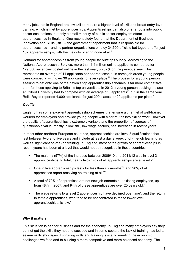many jobs that in England are low skilled require a higher level of skill and broad entry-level training, which is met by apprenticeships. Apprenticeships can also offer a route into public sector occupations, but only a small minority of public sector employers offers apprenticeships in England. One recent study found that the Department of Business Innovation and Skills (BIS) – the government department that is responsible for apprenticeships – and its partner organisations employ 24,500 officials but together offer just 137 apprenticeships, with the majority offering none at all.<sup>"</sup>

Demand for apprenticeships from young people far outstrips supply. According to the National Apprenticeship Service, more than 1.4 million online applicants competed for 129,000 vacancies posted online in the last year, up 32% on the previous year. This represents an average of 11 applicants per apprenticeship. In some job areas young people were competing with over 30 applicants for every place.<sup>iii</sup> The process for a young person seeking to get onto one of the nation's top apprenticeship schemes is far more competitive than for those applying to Britain's top universities. In 2012 a young person seeking a place at Oxford University had to compete with an average of 5 applicants<sup>iv</sup>, but in the same year Rolls Royce reported 4,000 applicants for just 200 places, or 20 applicants per place.<sup>v</sup>

# *Quality*

England has some excellent apprenticeship schemes that ensure a channel of well-trained workers for employers and provide young people with clear routes into skilled work. However the quality of apprenticeships is extremely variable and the proportion of courses of questionable value, mostly in low skill, low wage sectors, has increased in recent years.

In most other northern European countries, apprenticeships are level 3 qualifications that last between two and five years and include at least a day a week of off-the-job learning as well as significant on-the-job training. In England, most of the growth of apprenticeships in recent years has been at a level that would not be recognised in these countries.

- The majority (57%) of the increase between 2009/10 and 2011/12 was in level 2 apprenticeships. In total, nearly two-thirds of all apprenticeships are at level  $2^{v_i}$
- One in five apprenticeships lasts for less than six months<sup>vii</sup>, and 20% of all apprentices report receiving no training at all.<sup>viii</sup>
- A total of 70% of apprentices are not new job entrants but existing employees, up from 48% in 2007, and 94% of these apprentices are over 25 years old.<sup>ix</sup>
- The wage returns to a level 2 apprenticeship have declined over time<sup>x</sup>, and the return to female apprentices, who tend to be concentrated in these lower level apprenticeships, is low.<sup>xi</sup>

# **Why it matters**

This situation is bad for business and for the economy. In England many employers say they cannot get the skills they need to succeed and in some sectors the lack of training has led to severe skills shortages. Improving skills and training is vital to meeting the economic challenges we face and to building a more competitive and more balanced economy. The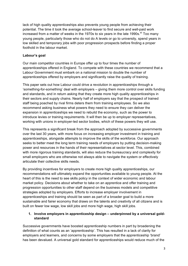lack of high quality apprenticeships also prevents young people from achieving their potential. The time it took the average school-leaver to find secure and well-paid work increased from a matter of weeks in the 1970s to six years in the late 1990s.<sup>xii</sup> Too many young people, particularly those who do not do A levels or go to university, spend years in low skilled and temporary jobs with poor progression prospects before finding a proper foothold in the labour market.

# **Labour's goal**

Our main competitor countries in Europe offer up to four times the number of apprenticeships offered in England. To compete with these countries we recommend that a Labour Government must embark on a national mission to double the number of apprenticeships offered by employers and significantly raise the quality of training.

This paper sets out how Labour could drive a revolution in apprenticeships through a 'something-for-something' deal with employers – giving them more control over skills funding and standards, and in return asking that they create more high quality apprenticeships in their sectors and supply chains. Nearly half of employers say that the prospect of trained staff being poached by rival firms deters them from training employees. So we also recommend asking business what powers they need to ensure they can deliver the expansion in apprenticeships we need to rebuild the economy, such as the power to introduce levies or training requirements. It will then be up to employer representatives, working with unions in employer-led sector bodies, which of these powers they will use.

This represents a significant break from the approach adopted by successive governments over the last 30 years, with more focus on increasing employer investment in training and apprenticeships, alongside attempts to improve the skills of the workforce. Our approach seeks to better meet the long term training needs of employers by putting decision-making power and resources in the hands of their representatives at sector level. This, combined with more rigorous training standards, will also reduce the bureaucracy and complexity for small employers who are otherwise not always able to navigate the system or effectively articulate their collective skills needs.

By providing incentives for employers to create more high quality apprenticeships, our recommendations will ultimately expand the opportunities available to young people. At the heart of this is the need to see skills policy in the context of wider economic and labour market policy. Decisions about whether to take on an apprentice and offer training and progression opportunities to other staff depend on the business models and competitive strategies adopted by employers. Efforts to increase employer involvement in apprenticeships and training should be seen as part of a broader goal to build a more sustainable and fairer economy that draws on the talents and creativity of all citizens and is built on fewer low wage, low skill jobs and more high wage, high skill jobs.

# **1. Involve employers in apprenticeship design – underpinned by a universal goldstandard**

Successive governments have boosted apprenticeship numbers in part by broadening the definition of what counts as an 'apprenticeship'. This has resulted in a lack of clarity for employers and learners, and concerns by some employers that the apprenticeship 'brand' has been devalued. A universal gold standard for apprenticeships would reduce much of the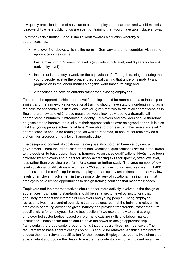low quality provision that is of no value to either employers or learners, and would minimise 'deadweight', where public funds are spent on training that would have taken place anyway.

To remedy this situation, Labour should work towards a situation whereby all apprenticeships:

- Are level 3 or above, which is the norm in Germany and other countries with strong apprenticeship systems;
- Last a minimum of 2 years for level 3 (equivalent to A level) and 3 years for level 4 (university level);
- Include at least a day a week (or the equivalent) of off-the-job training, ensuring that young people receive the broader theoretical training that underpins mobility and progression in the labour market alongside work-based training; and
- Are focused on new job entrants rather than existing employees.

To protect the apprenticeship brand, level 2 training should be renamed as a traineeship or similar, and the frameworks for vocational training should have statutory underpinning, as is the case for academic qualifications. However, given that two-thirds of all apprenticeships in England are now at level 2, these measures would inevitably lead to a dramatic fall in apprenticeship numbers if introduced suddenly. Employers and providers should therefore be given time to improve the quality of their apprenticeships over an agreed period. It is also vital that young people achieving at level 2 are able to progress to higher levels, so level 2 apprenticeships should be redesigned, as well as renamed, to ensure courses provide a platform for progression to a level 3 apprenticeship.

The design and content of vocational training has also too often been set by central government – from the introduction of national vocational qualifications (NVQs) in the 1980s to the decision to base apprenticeship frameworks on these qualifications. NVQs have been criticised by employers and others for simply accrediting skills for specific, often low level, jobs rather than providing a platform for a career or further study. The large number of low level vocational qualifications – with nearly 250 apprenticeship frameworks covering 1,400 job roles – can be confusing for many employers, particularly small firms, and relatively low levels of employer involvement in the design or delivery of vocational training mean that employers have limited opportunities to design training solutions that meet their needs.

Employers and their representatives should be far more actively involved in the design of apprenticeships. Training standards should be set at sector level by institutions that genuinely represent the interests of employers and young people. Giving employer representatives more control over skills standards ensures that the training is relevant to employers operating across the given industry and provides transferable, rather than firmspecific, skills for employees. Below (see section 4) we explore how to build strong employer-led sector bodies, based on reforms to existing skills and labour market institutions. These sector bodies should have the power to design apprenticeship frameworks: the broad content requirements that the apprenticeships must cover. The requirement to base apprenticeships on NVQs should be removed, enabling employers to choose the most relevant qualification for their sector. Employer representatives should be able to adapt and update the design to ensure the content stays current, based on active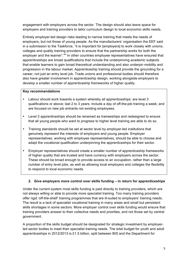engagement with employers across the sector. The design should also leave space for employers and training providers to tailor curriculum design to local economic skills needs.

Entirely employer-led design risks leading to narrow training that meets the needs of employers, but not those of young people. As the manufacturers' organisation the EEF said in a submission to the Taskforce, "it is important for [employers] to work closely with unions, colleges and quality training providers to ensure that the partnership works for both the employer and the learner". Xill In other countries employee representatives have ensured that apprenticeships are broad qualifications that include the underpinning academic subjects that enable learners to gain broad theoretical understanding and also underpin mobility and progression in the labour market. Apprenticeship training should provide the grounding for a career, not just an entry level job. Trade unions and professional bodies should therefore also have greater involvement in apprenticeship design, working alongside employers to develop a smaller number of apprenticeship frameworks of higher quality.

# **Key recommendations**

- Labour should work towards a system whereby all apprenticeships: are level 3 qualifications or above; last 2 to 3 years; include a day of off-the-job training a week; and are focused on new job entrants not existing employees.
- Level 2 apprenticeships should be renamed as traineeships and redesigned to ensure that all young people who want to progress to higher level training are able to do so.
- Training standards should be set at sector level by employer-led institutions that genuinely represent the interests of employers and young people. Employer representatives, working with employee representatives, should be able to choose and adapt the vocational qualification underpinning the apprenticeships for their sector.
- Employer representatives should create a smaller number of apprenticeship frameworks of higher quality that are trusted and have currency with employers across the sector. These should be broad enough to provide access to an occupation, rather than a large number of entry level jobs, as well as allowing local employers and colleges the flexibility to respond to local economic needs.

# **2. Give employers more control over skills funding – in return for apprenticeships**

Under the current system most skills funding is paid directly to training providers, which are not always willing or able to provide more specialist training. Too many training providers offer rigid 'off-the-shelf' training programmes that are ill-suited to employers' training needs. The result is a lack of specialist vocational training in many areas and small but persistent skills shortages in some sectors. More employer control over skills funding would ensure that training providers answer to their collective needs and priorities, and not those set by central government.

A proportion of the skills budget should be designated for strategic investment by employerled sector bodies to meet their specialist training needs. The total budget for youth and adult apprenticeships in 2012/2013 is £1.5 billion, split between BIS and the Department for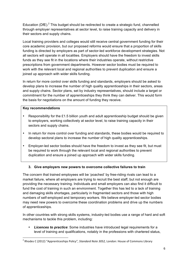Education (DfE).<sup>2</sup> This budget should be redirected to create a strategic fund, channelled through employer representatives at sector level, to raise training capacity and delivery in their sectors and supply chains.

Local training providers and colleges would still receive central government funding for their core academic provision, but our proposed reforms would ensure that a proportion of skills funding is directed by employers as part of sector-led workforce development strategies. Not all sectors will operate in all localities. Employers should have the freedom to invest skills funds as they see fit in the locations where their industries operate, without restrictive prescriptions from government departments. However sector bodies must be required to work with the relevant local and regional authorities to prevent duplication and ensure a joined up approach with wider skills funding.

In return for more control over skills funding and standards, employers should be asked to develop plans to increase the number of high quality apprenticeships in their sectors, areas and supply chains. Sector plans, set by industry representatives, should include a target or commitment for the number of apprenticeships they think they can deliver. This would form the basis for negotiations on the amount of funding they receive.

# **Key recommendations**

""""""""""""""""""""""""""""""""""""""""""""""""""""""""""""

- Responsibility for the £1.5 billion youth and adult apprenticeship budget should be given to employers, working collectively at sector level, to raise training capacity in their sectors and supply chains.
- In return for more control over funding and standards, these bodies would be required to develop sectoral plans to increase the number of high quality apprenticeships.
- Employer-led sector bodies should have the freedom to invest as they see fit, but must be required to work through the relevant local and regional authorities to prevent duplication and ensure a joined up approach with wider skills funding.

# **3. Give employers new powers to overcome collective failures to train**

The concern that trained employees will be 'poached' by free-riding rivals can lead to a market failure, where all employers are trying to recruit the best staff, but not enough are providing the necessary training. Individuals and small employers can also find it difficult to fund the cost of training in such an environment. Together this has led to a lack of training and damaging skills shortages, particularly in fragmented sectors and those with high numbers of self-employed and temporary workers. We believe employer-led sector bodies may need new powers to overcome these coordination problems and drive up the numbers of apprenticeships.

In other countries with strong skills systems, industry-led bodies use a range of hard and soft mechanisms to tackle this problem, including:

• *Licences to practice*: Some industries have introduced legal requirements for a level of training and qualifications, notably in the professions with chartered status,

<sup>&</sup>lt;sup>2</sup> Rhodes C (2012) "Apprenticeships Policy", *Standard Note 3052*, London: House of Commons Library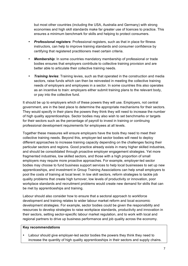but most other countries (including the USA, Australia and Germany) with strong economies and high skill standards make far greater use of licences to practice. This ensures a minimum benchmark for skills and helping to protect consumers.

- *Professional registers*: Professional registers, such as that in place for fitness instructors, can help to improve training standards and consumer confidence by certifying that registered practitioners meet certain criteria.
- *Membership*: In some countries mandatory membership of professional or trade bodies ensures that employers contribute to collective training provision and are better able to articulate their collective training needs.
- *Training levies*: Training levies, such as that operated in the construction and media sectors, raise funds which can then be reinvested in meeting the collective training needs of employers and employees in a sector. In some countries this also operates as an incentive to train: employers either submit training plans to the relevant body, or pay into the collective fund.

It should be up to employers which of these powers they will use. Employers, not central government, are in the best place to determine the appropriate mechanisms for their sectors. They would specify in their plans the powers they think they will need to increase the number of high quality apprenticeships. Sector bodies may also wish to set benchmarks or targets for their sectors such as the percentage of payroll to invest in training or continuing professional development requirements for employees at all levels.

Together these measures will ensure employers have the tools they need to meet their collective training needs. Beyond this, employer-led sector bodies will need to deploy different approaches to increase training capacity depending on the challenges facing their particular sectors and regions. Good practice already exists in many higher skilled industries, and should be consolidated through proactive employer engagement strategies. Yet more fragmented industries, low skilled sectors, and those with a high proportion of small employers may require more proactive approaches. For example, employer-led sector bodies may choose to fund business support services to help local businesses to set up new apprenticeships, and investment in Group Training Associations can help small employers to pool the costs of training at local level. In low skill sectors, reform strategies to tackle job quality problems that create high turnover, low levels of productivity or innovation, poor workplace standards and recruitment problems would create new demand for skills that can be met by apprenticeships and training.

Labour should also consider how to ensure that a sectoral approach to workforce development and training relates to wider labour market reform and local economic development strategies. For example, sector bodies could be given the responsibility and resources to develop strategies to raise workplace standards, productivity and innovation in their sectors, setting sector-specific labour market regulation, and to work with local and regional partners to drive up business performance and job quality across the economy.

#### **Key recommendations**

Labour should give employer-led sector bodies the powers they think they need to increase the quantity of high quality apprenticeships in their sectors and supply chains.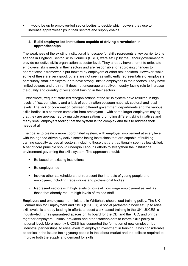It would be up to employer-led sector bodies to decide which powers they use to increase apprenticeships in their sectors and supply chains.

# **4. Build employer-led institutions capable of driving a revolution in apprenticeships**

The weakness of the existing institutional landscape for skills represents a key barrier to this agenda in England. Sector Skills Councils (SSCs) were set up by the Labour government to provide collective skills organisation at sector level. They already have a remit to articulate employers' skills needs in their sectors and are responsible for approving changes to apprenticeship frameworks put forward by employers or other stakeholders. However, while some of these are very good, others are not seen as sufficiently representative of employers, particularly small employers, or to have strong links to employees in their sectors. They have limited powers and their remit does not encourage an active, industry-facing role to increase the quality and quantity of vocational training in their sectors.

Furthermore, frequent state-led reorganisations of the skills system have resulted in high levels of flux, complexity and a lack of coordination between national, sectoral and local levels. The lack of coordination between different government departments and the various skills bodies is a common complaint from employers – with some larger employers saying that they are approached by multiple organisations promoting different skills initiatives and many small employers feeling that the system is too complex and fails to address their needs at all.

The goal is to create a more coordinated system, with employer involvement at every level, with the agenda driven by active sector-facing institutions that are capable of building training capacity across all sectors, including those that are traditionally seen as low skilled. A set of core principle should underpin Labour's efforts to strengthen the institutional environment governing the skills system. The approach should:

- Be based on existing institutions
- Be employer-led
- Involve other stakeholders that represent the interests of young people and employees, including trade unions and professional bodies
- Represent sectors with high levels of low skill, low wage employment as well as those that already require high levels of trained staff

Employers and employees, not ministers in Whitehall, should lead training policy. The UK Commission for Employment and Skills (UKCES), a social partnership body set up to raise skill levels, is already leading in efforts to boost work-based training in the UK. UKCES is industry-led. It has guaranteed spaces on its board for the CBI and the TUC, and brings together employers, unions, providers and other stakeholders to inform skills policy at national level. More recently UKCES has supported the formation of new employer-led 'industrial partnerships' to raise levels of employer investment in training. It has considerable expertise in the issues facing young people in the labour market and the policies required to improve both the supply and demand for skills.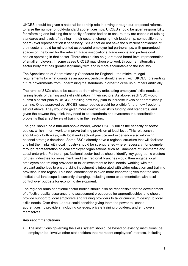UKCES should be given a national leadership role in driving through our proposed reforms to raise the number of gold-standard apprenticeships. UKCES should be given responsibility for reforming and building the capacity of sector bodies to ensure they are capable of raising standards and levels of training in their sectors, changing their leadership, composition and board-level representation if necessary. SSCs that do not have the sufficient confidence of their sector should be reinvented as powerful employer-led partnerships, with guaranteed spaces on the board for the relevant trade associations, trade unions and professional bodies operating in that sector. There should also be guaranteed board-level representation of small employers. In some cases UKCES may choose to work through an alternative sector body that has greater legitimacy with and is more accountable to the industry.

The Specification of Apprenticeship Standards for England – the minimum legal requirements for what counts as an apprenticeship – should also sit with UKCES, preventing future governments from undermining the standards in order to drive up numbers artificially.

The remit of SSCs should be extended from simply articulating employers' skills needs to raising levels of training and skills utilisation in their sectors. As above, each SSC would submit a sector plan to UKCES detailing how they plan to increase levels of apprenticeship training. Once approved by UKCES, sector bodies would be eligible for the new freedoms set out above. They would be given more control over skills funding and standards, and given the powers they think they need to set standards and overcome the coordination problems that affect levels of training in their sectors.

The goal should be a hub-and-spoke model, where UKCES builds the capacity of sector bodies, which in turn work to improve training provision at local level. This relationship should work both ways, with local and sectoral practice and experience also informing national strategic decisions. Some SSCs already have a regional structure that will facilitate this but their links with local industry should be strengthened where necessary, for example through representation of local employer organisations such as Chambers of Commerce and Local enterprise Partnerships. National sector bodies should identify key geographic clusters for their industries for investment, and their regional branches would then engage local employers and training providers to tailor investment to local needs, working with the relevant authorities to ensure skills investment is integrated with wider education and training provision in the region. This local coordination is even more important given that the local institutional landscape is currently changing, including some experimentation with local control over budgets for economic development.

The regional arms of national sector bodies should also be responsible for the development of effective quality assurance and assessment procedures for apprenticeships and should provide support to local employers and training providers to tailor curriculum design to local skills needs. Over time, Labour could consider giving them the power to license apprenticeship providers, including colleges, private training providers, and employers themselves.

#### **Key recommendations**

• The institutions governing the skills system should: be based on existing institutions; be employer-led; involve other stakeholders that represent employees' interests, including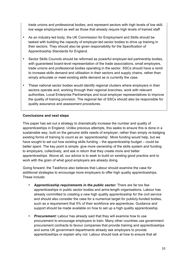trade unions and professional bodies; and represent sectors with high levels of low skill, low wage employment as well as those that already require high levels of trained staff

- As an industry-led body, the UK Commission for Employment and Skills should be tasked with building the capacity of employer-led sector bodies to drive up training in their sectors. They should also be given responsibility for the Specification of Apprenticeship Standards for England.
- Sector Skills Councils should be reformed as powerful employer-led partnership bodies, with guaranteed board-level representation of the trade associations, small employers, trade unions and professional bodies operating in the sector. SSCs should have a remit to increase skills demand and utilisation in their sectors and supply chains, rather than simply articulate or meet existing skills demand as is currently the case.
- These national sector bodies would identify regional clusters where employers in their sectors operate and, working through their regional branches, work with relevant authorities, Local Enterprise Partnerships and local employer representatives to improve the quality of training provision. The regional tier of SSCs should also be responsible for quality assurance and assessment procedures.

# **Conclusions and next steps**

This paper has set out a strategy to dramatically increase the number and quality of apprenticeships in England. Unlike previous attempts, this seeks to ensure this is done in a sustainable way, built on the genuine skills needs of employer, rather than simply re-badging existing forms of training to count as an 'apprenticeship'. More funding would help, but we have sought to set out how existing skills funding – the apprenticeship budget – could be better spent. The key point is simple: give more ownership of the skills system and funding to employers, collectively, and ask in return that they create more and better apprenticeships. Above all, our advice is to seek to build on existing good practice and to work with the grain of what good employers are already doing.

Going forward, the Taskforce also believes that Labour should examine the case for additional strategies to encourage more employers to offer high quality apprenticeships. These include:

- *Apprenticeship requirements in the public sector:* There are far too few apprenticeships in public sector bodies and arms-length organisations. Labour has already committed to creating a new high quality apprenticeship for the civil service and should also consider the case for a numerical target for publicly-funded bodies, such as a requirement that 5% of their workforce are apprentices. Guidance and support should be made available on how to set up a high quality apprenticeship.
- *Procurement:* Labour has already said that they will examine how to use procurement to encourage employers to train. Many other countries use government procurement contracts to favour companies that provide training and apprenticeships and some UK government departments already ask employers to provide apprenticeships or explain why not. Labour should look at how to ensure that all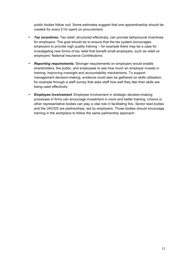public bodies follow suit. Some estimates suggest that one apprenticeship should be created for every £1m spent on procurement.

- *Tax incentives:* Tax relief, structured effectively, can provide behavioural incentives for employers. The goal should be to ensure that the tax system encourages employers to provide high quality training – for example there may be a case for investigating new forms of tax relief that benefit small employers, such as relief on employers' National Insurance Contributions.
- *Reporting requirements:* Stronger requirements on employers would enable shareholders, the public, and employees to see how much an employer invests in training, improving oversight and accountability mechanisms. To support management decision-making, evidence could also be gathered on skills utilisation, for example through a staff survey that asks staff how well they feel their skills are being used effectively.
- *Employee involvement*: Employee involvement in strategic decision-making processes in firms can encourage investment in more and better training. Unions or other representative bodies can play a vital role in facilitating this. Sector lead bodies and the UKCES are partnerships, led by employers. Those bodies should encourage training in the workplace to follow the same partnership approach.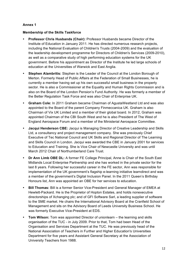# **Annex 1**

# **Membership of the Skills Taskforce**

- **Professor Chris Husbands (Chair):** Professor Husbands became Director of the Institute of Education in January 2011. He has directed numerous research projects, including the National Evaluation of Children's Trusts (2004-2009) and the evaluation of the leadership development programme for Directors of Children's Services (2009-2010), as well as a comparative study of high performing education systems for the UK government. Before his appointment as Director of the Institute he led large schools of education at the Universities of Warwick and East Anglia.
- **Stephen Alambritis:** Stephen is the Leader of the Council at the London Borough of Merton. Formerly Head of Public Affairs at the Federation of Small Businesses, he is currently a member having set up his own successful small business in the property sector. He is also a Commissioner at the Equality and Human Rights Commission and is also on the Board of the London Pension's Fund Authority. He was formerly a member of the Better Regulation Task Force and was also Chair of Enterprise UK.
- **Graham Cole:** In 2011 Graham became Chairman of AgustaWestland Ltd and was also appointed to the Board of the parent Company Finmeccanica UK. Graham is also Chairman of Vix UK Limited and a member of their global board. In 2012, Graham was appointed Chairman of the CBI South West and he is also President of The West of England Aerospace Forum and a member of the Ministerial Aerospace Committee.
- **Jacqui Henderson CBE:** Jacqui is Managing Director of Creative Leadership and Skills Ltd, a consultancy and project management company. She was previously Chief Executive of Tec National Council and UK Skills and Regional Director of The Learning and Skills Council in London. Jacqui was awarded the CBE in January 2001 for services to Education and Training. She is Vice Chair of Newcastle University and was until March 2012 Chair of Northumberland Care Trust.
- **Dr Ann Limb OBE DL:** A former FE College Principal, Anne is Chair of the South East Midlands Local Enterprise Partnership and she has worked in the private sector for the last 8 years. Following her successful career in the FE sector, Ann was responsible for implementation of the UK government's flagship e-learning initiative learndirect and was a member of the government's Digital Inclusion Panel. In the 2011 Queen's Birthday Honours list, Ann was appointed an OBE for her services to education.
- **Bill Thomas:** Bill is a former Senior Vice-President and General Manager of EMEA at Hewlett-Packard. He is the Proprietor of Hopton Estates, and holds nonexecutive directorships of Xchanging plc; and of GFI Software Sarl, a leading supplier of software to the SME market. He chairs the International Advisory Board at the Cranfield School of Management and sits on the Advisory Board of Leeds University Business School. He was formerly Executive Vice-President at EDS.
- **Tom Wilson:** Tom was appointed Director of unionlearn the learning and skills organisation of the TUC - in July 2009. Prior to that, Tom had been Head of the Organisation and Services Department at the TUC. He was previously head of the National Association of Teachers in Further and Higher Education's Universities Department for five years and Assistant General Secretary at the Association of University Teachers from 1988.